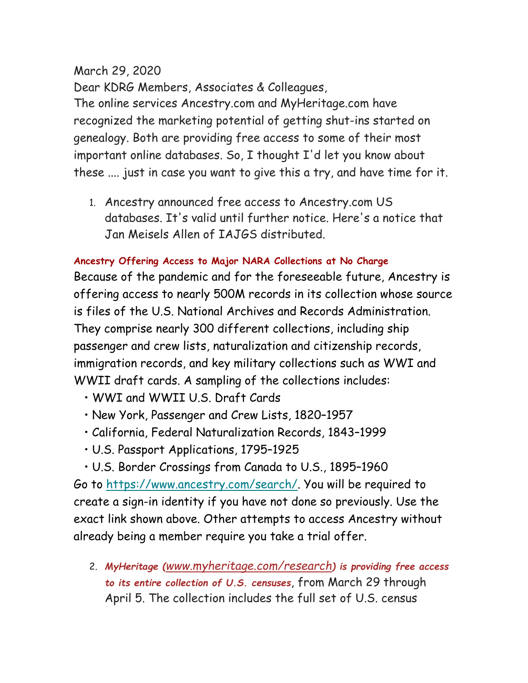## March 29, 2020

Dear KDRG Members, Associates & Colleagues, The online services Ancestry.com and MyHeritage.com have recognized the marketing potential of getting shut-ins started on genealogy. Both are providing free access to some of their most important online databases. So, I thought I'd let you know about these .... just in case you want to give this a try, and have time for it.

1. Ancestry announced free access to Ancestry.com US databases. It's valid until further notice. Here's a notice that Jan Meisels Allen of IAJGS distributed.

## **Ancestry Offering Access to Major NARA Collections at No Charge**

Because of the pandemic and for the foreseeable future, Ancestry is offering access to nearly 500M records in its collection whose source is files of the U.S. National Archives and Records Administration. They comprise nearly 300 different collections, including ship passenger and crew lists, naturalization and citizenship records, immigration records, and key military collections such as WWI and WWII draft cards. A sampling of the collections includes:

- WWI and WWII U.S. Draft Cards
- New York, Passenger and Crew Lists, 1820–1957
- California, Federal Naturalization Records, 1843–1999
- U.S. Passport Applications, 1795–1925

• U.S. Border Crossings from Canada to U.S., 1895–1960 Go to [https://www.ancestry.com/search/.](https://www.ancestry.com/search/) You will be required to create a sign-in identity if you have not done so previously. Use the exact link shown above. Other attempts to access Ancestry without already being a member require you take a trial offer.

2. *MyHeritage ([www.myheritage.com/research](http://www.myheritage.com/research)) is providing free access to its entire collection of U.S. censuses*, from March 29 through April 5. The collection includes the full set of U.S. census